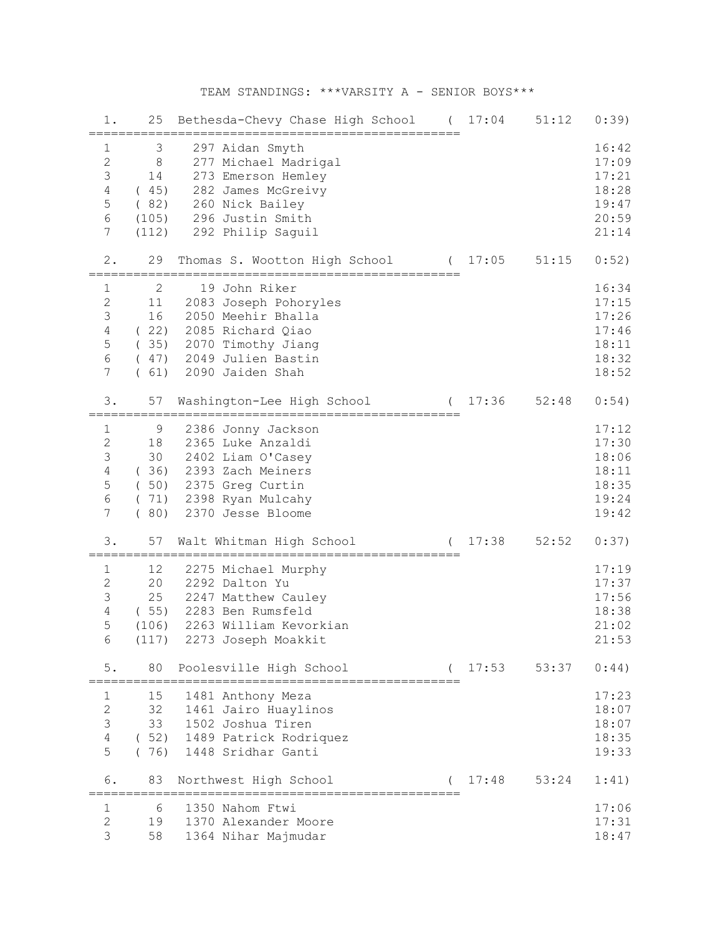## TEAM STANDINGS: \*\*\*VARSITY A - SENIOR BOYS\*\*\*

| 1.                                                                                   | 25                                                 | Bethesda-Chevy Chase High School                                                                                                                          | $\left($    | 17:04   | 51:12 | 0:39)                                                       |
|--------------------------------------------------------------------------------------|----------------------------------------------------|-----------------------------------------------------------------------------------------------------------------------------------------------------------|-------------|---------|-------|-------------------------------------------------------------|
| 1<br>$\overline{c}$<br>$\mathfrak{Z}$<br>$\sqrt{4}$<br>5<br>$6\,$<br>7               | 3<br>$8\,$<br>14<br>(45)<br>(82)<br>(105)<br>(112) | 297 Aidan Smyth<br>277 Michael Madrigal<br>273 Emerson Hemley<br>282 James McGreivy<br>260 Nick Bailey<br>296 Justin Smith<br>292 Philip Saguil           |             |         |       | 16:42<br>17:09<br>17:21<br>18:28<br>19:47<br>20:59<br>21:14 |
| 2.                                                                                   | 29                                                 | Thomas S. Wootton High School                                                                                                                             |             | (17:05  | 51:15 | 0:52)                                                       |
| $\mathbf{1}$<br>$\mathbf{2}$<br>$\mathfrak{Z}$<br>$\sqrt{4}$<br>5<br>$\epsilon$<br>7 | 2<br>11<br>16<br>(22)<br>(35)<br>(61)              | 19 John Riker<br>2083 Joseph Pohoryles<br>2050 Meehir Bhalla<br>2085 Richard Qiao<br>2070 Timothy Jiang<br>(47) 2049 Julien Bastin<br>2090 Jaiden Shah    | =========== |         |       | 16:34<br>17:15<br>17:26<br>17:46<br>18:11<br>18:32<br>18:52 |
| 3.                                                                                   | 57                                                 | Washington-Lee High School                                                                                                                                |             | (17:36) | 52:48 | 0:54)                                                       |
| $\mathbf 1$<br>$\sqrt{2}$<br>$\mathsf 3$<br>$\sqrt{4}$<br>5<br>$\epsilon$<br>7       | 9<br>18<br>30<br>(36)<br>(80)                      | 2386 Jonny Jackson<br>2365 Luke Anzaldi<br>2402 Liam O'Casey<br>2393 Zach Meiners<br>(50) 2375 Greg Curtin<br>(71) 2398 Ryan Mulcahy<br>2370 Jesse Bloome |             |         |       | 17:12<br>17:30<br>18:06<br>18:11<br>18:35<br>19:24<br>19:42 |
| 3.                                                                                   | 57                                                 | Walt Whitman High School<br>====================================                                                                                          | $\left($    | 17:38   | 52:52 | 0:37)                                                       |
| 1<br>$\sqrt{2}$<br>3<br>$\overline{4}$<br>5<br>6                                     | 12<br>20<br>25<br>(106)<br>(117)                   | 2275 Michael Murphy<br>2292 Dalton Yu<br>2247 Matthew Cauley<br>(55) 2283 Ben Rumsfeld<br>2263 William Kevorkian<br>2273 Joseph Moakkit                   |             |         |       | 17:19<br>17:37<br>17:56<br>18:38<br>21:02<br>21:53          |
| 5.                                                                                   | 80<br>==============                               | Poolesville High School<br>-====================================                                                                                          |             | 17:53   | 53:37 | 0:44)                                                       |
| 1<br>$\sqrt{2}$<br>$\mathsf 3$<br>$\sqrt{4}$<br>5                                    | 15<br>32<br>33                                     | 1481 Anthony Meza<br>1461 Jairo Huaylinos<br>1502 Joshua Tiren<br>(52) 1489 Patrick Rodriquez<br>(76) 1448 Sridhar Ganti                                  |             |         |       | 17:23<br>18:07<br>18:07<br>18:35<br>19:33                   |
| 6.                                                                                   | 83                                                 | Northwest High School<br>======================                                                                                                           |             | 17:48   | 53:24 | 1:41)                                                       |
| 1<br>$\mathbf{2}$<br>3                                                               | 6<br>19<br>58                                      | 1350 Nahom Ftwi<br>1370 Alexander Moore<br>1364 Nihar Majmudar                                                                                            |             |         |       | 17:06<br>17:31<br>18:47                                     |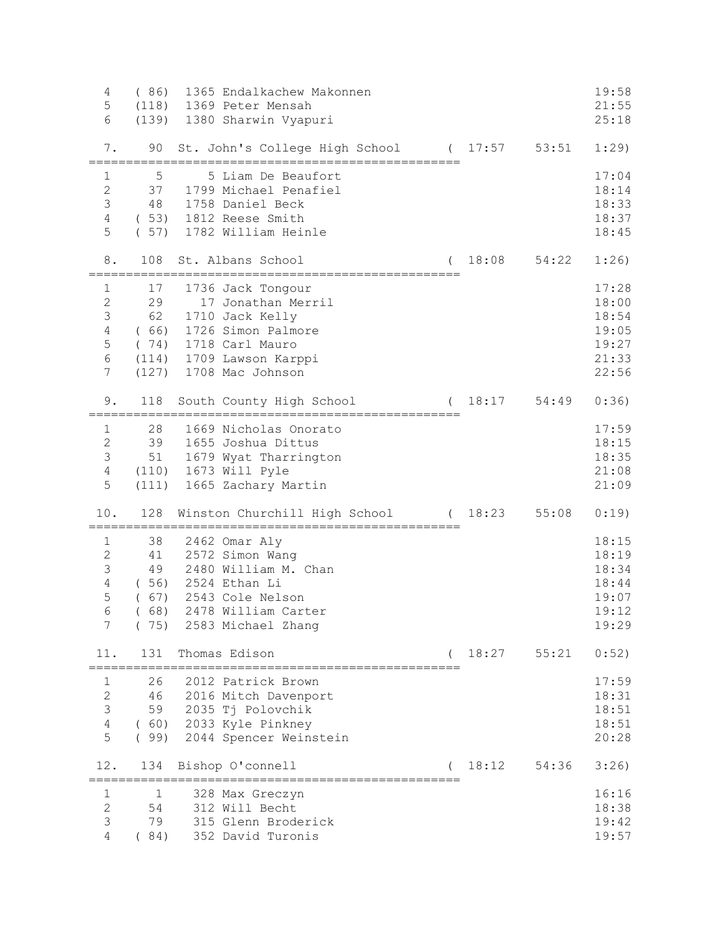| $\overline{4}$<br>5 | (86) | 1365 Endalkachew Makonnen<br>(118) 1369 Peter Mensah           |           |         |                 | 19:58<br>21:55 |
|---------------------|------|----------------------------------------------------------------|-----------|---------|-----------------|----------------|
| 6                   |      | (139) 1380 Sharwin Vyapuri                                     |           |         |                 | 25:18          |
|                     |      |                                                                |           |         |                 |                |
| 7.                  | 90   | St. John's College High School (17:57 53:51<br>--------------- | ========= |         |                 | 1:29)          |
| $\mathbf{1}$        | 5    | 5 Liam De Beaufort                                             |           |         |                 | 17:04          |
| $\mathbf{2}$        | 37   | 1799 Michael Penafiel                                          |           |         |                 | 18:14          |
| $\mathfrak{Z}$      | 48   | 1758 Daniel Beck                                               |           |         |                 | 18:33          |
| $\overline{4}$      |      | (53) 1812 Reese Smith                                          |           |         |                 | 18:37          |
| 5                   |      | (57) 1782 William Heinle                                       |           |         |                 | 18:45          |
| 8.                  | 108  | St. Albans School                                              | $\left($  | 18:08   | 54:22           | 1:26)          |
| $\mathbf{1}$        | 17   | 1736 Jack Tongour                                              |           |         |                 | 17:28          |
| $\sqrt{2}$          | 29   | 17 Jonathan Merril                                             |           |         |                 | 18:00          |
| $\mathcal{S}$       | 62   | 1710 Jack Kelly                                                |           |         |                 | 18:54          |
| $\sqrt{4}$          | (66) | 1726 Simon Palmore                                             |           |         |                 | 19:05          |
| 5                   |      | (74) 1718 Carl Mauro                                           |           |         |                 | 19:27          |
| $\epsilon$          |      | (114) 1709 Lawson Karppi                                       |           |         |                 | 21:33          |
| 7                   |      | (127) 1708 Mac Johnson                                         |           |         |                 | 22:56          |
| 9.                  | 118  | South County High School                                       |           | (18:17) | 54:49           | 0:36)          |
| $\mathbf{1}$        | 28   | 1669 Nicholas Onorato                                          |           |         |                 | 17:59          |
| $\overline{2}$      | 39   | 1655 Joshua Dittus                                             |           |         |                 | 18:15          |
| $\mathcal{S}$       | 51   | 1679 Wyat Tharrington                                          |           |         |                 | 18:35          |
| $\overline{4}$      |      | (110) 1673 Will Pyle                                           |           |         |                 | 21:08          |
| 5                   |      | (111) 1665 Zachary Martin                                      |           |         |                 | 21:09          |
| 10.                 | 128  | Winston Churchill High School (18:23                           |           |         | 55:08           | 0:19)          |
| 1                   | 38   | 2462 Omar Aly                                                  |           |         |                 | 18:15          |
| $\overline{2}$      | 41   | 2572 Simon Wang                                                |           |         |                 | 18:19          |
| $\mathcal{S}$       | 49   | 2480 William M. Chan                                           |           |         |                 | 18:34          |
| $\overline{4}$      |      | ( 56) 2524 Ethan Li                                            |           |         |                 | 18:44          |
| 5                   |      | (67) 2543 Cole Nelson                                          |           |         |                 | 19:07          |
| $\sqrt{6}$          | (68) | 2478 William Carter                                            |           |         |                 | 19:12          |
| 7                   | (75) | 2583 Michael Zhang                                             |           |         |                 | 19:29          |
| 11.                 | 131  | Thomas Edison                                                  |           |         | $18:27$ $55:21$ | 0:52)          |
| 1                   | 26   | 2012 Patrick Brown                                             |           |         |                 | 17:59          |
| $\mathbf{2}$        | 46   | 2016 Mitch Davenport                                           |           |         |                 | 18:31          |
| 3                   | 59   | 2035 Tj Polovchik                                              |           |         |                 | 18:51          |
| $\sqrt{4}$          | (60) | 2033 Kyle Pinkney                                              |           |         |                 | 18:51          |
| 5                   | (99) | 2044 Spencer Weinstein                                         |           |         |                 | 20:28          |
| 12.                 | 134  | Bishop O'connell<br>===================                        |           | 18:12   | 54:36           | 3:26)          |
| 1                   | 1    | 328 Max Greczyn                                                |           |         |                 | 16:16          |
| $\overline{c}$      | 54   | 312 Will Becht                                                 |           |         |                 | 18:38          |
| 3                   | 79   | 315 Glenn Broderick                                            |           |         |                 | 19:42          |
| $\overline{4}$      | (84) | 352 David Turonis                                              |           |         |                 | 19:57          |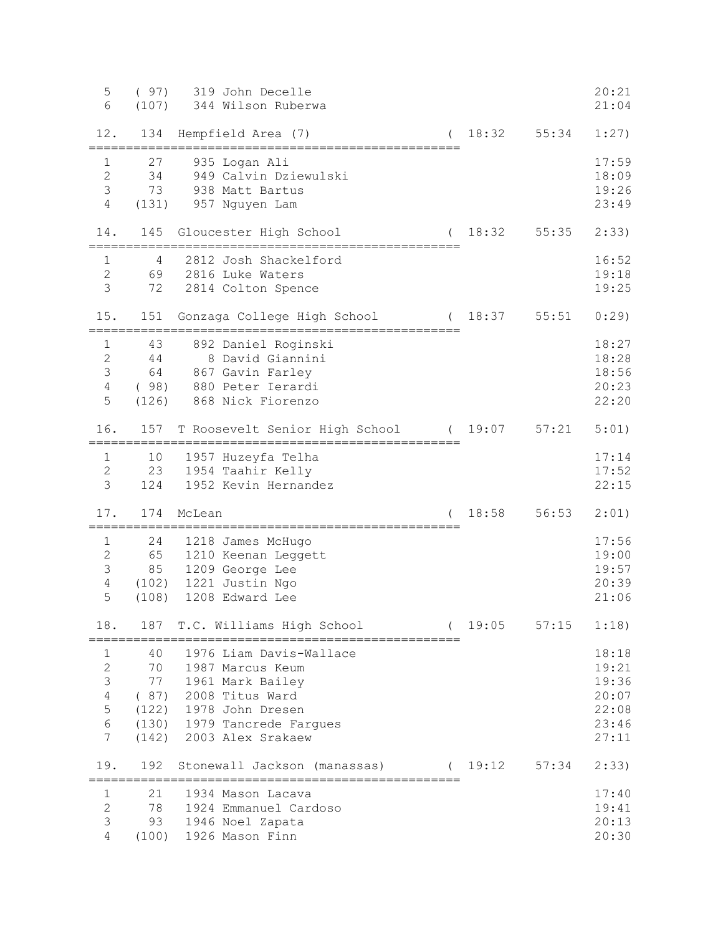| 5<br>6                                                                 | (97)<br>(107)                            | 319 John Decelle<br>344 Wilson Ruberwa                                                                                                                     |         |       | 20:21<br>21:04                                              |
|------------------------------------------------------------------------|------------------------------------------|------------------------------------------------------------------------------------------------------------------------------------------------------------|---------|-------|-------------------------------------------------------------|
| 12.                                                                    | 134                                      | Hempfield Area (7)                                                                                                                                         | (18:32) | 55:34 | 1:27)                                                       |
| $\mathbf{1}$<br>$\overline{2}$<br>$\mathcal{S}$<br>4                   | 27<br>34<br>73<br>(131)                  | 935 Logan Ali<br>949 Calvin Dziewulski<br>938 Matt Bartus<br>957 Nguyen Lam                                                                                |         |       | 17:59<br>18:09<br>19:26<br>23:49                            |
| 14.                                                                    | 145                                      | Gloucester High School                                                                                                                                     | (18:32) | 55:35 | 2:33)                                                       |
| 1<br>$\overline{2}$<br>3                                               | 4<br>72                                  | 2812 Josh Shackelford<br>69 2816 Luke Waters<br>2814 Colton Spence                                                                                         |         |       | 16:52<br>19:18<br>19:25                                     |
| 15.                                                                    | 151                                      | Gonzaga College High School                                                                                                                                | (18:37) | 55:51 | 0:29                                                        |
| $\mathbf 1$<br>$\overline{2}$<br>3<br>$\overline{4}$<br>5              | 43<br>44<br>64                           | 892 Daniel Roginski<br>8 David Giannini<br>867 Gavin Farley<br>(98) 880 Peter Ierardi<br>(126) 868 Nick Fiorenzo                                           |         |       | 18:27<br>18:28<br>18:56<br>20:23<br>22:20                   |
| 16.                                                                    | 157                                      | T Roosevelt Senior High School                                                                                                                             | (19:07) | 57:21 | 5:01)                                                       |
| $\mathbf{1}$<br>$\mathbf{2}$<br>3                                      | 10<br>124                                | 1957 Huzeyfa Telha<br>23 1954 Taahir Kelly<br>1952 Kevin Hernandez                                                                                         |         |       | 17:14<br>17:52<br>22:15                                     |
| 17.                                                                    | 174                                      | McLean                                                                                                                                                     | 18:58   | 56:53 | 2:01)                                                       |
| $\mathbf{1}$<br>$\mathbf{2}$<br>3<br>$\overline{4}$<br>5               | 24<br>65<br>85<br>(108)                  | 1218 James McHugo<br>1210 Keenan Leggett<br>1209 George Lee<br>(102) 1221 Justin Ngo<br>1208 Edward Lee                                                    |         |       | 17:56<br>19:00<br>19:57<br>20:39<br>21:06                   |
| 18.                                                                    | 187                                      | T.C. Williams High School<br>--------------------------                                                                                                    | 19:05   | 57:15 | 1:18)                                                       |
| 1<br>$\mathbf{2}$<br>3<br>$\sqrt{4}$<br>$\mathsf S$<br>$\sqrt{6}$<br>7 | 40<br>70<br>77<br>(87)<br>(122)<br>(142) | 1976 Liam Davis-Wallace<br>1987 Marcus Keum<br>1961 Mark Bailey<br>2008 Titus Ward<br>1978 John Dresen<br>(130) 1979 Tancrede Fargues<br>2003 Alex Srakaew |         |       | 18:18<br>19:21<br>19:36<br>20:07<br>22:08<br>23:46<br>27:11 |
| 19.                                                                    | 192                                      | Stonewall Jackson (manassas)                                                                                                                               | (19:12) | 57:34 | 2:33)                                                       |
| $\mathbf{1}$<br>$\overline{2}$<br>3<br>4                               | 21<br>78<br>93<br>(100)                  | 1934 Mason Lacava<br>1924 Emmanuel Cardoso<br>1946 Noel Zapata<br>1926 Mason Finn                                                                          |         |       | 17:40<br>19:41<br>20:13<br>20:30                            |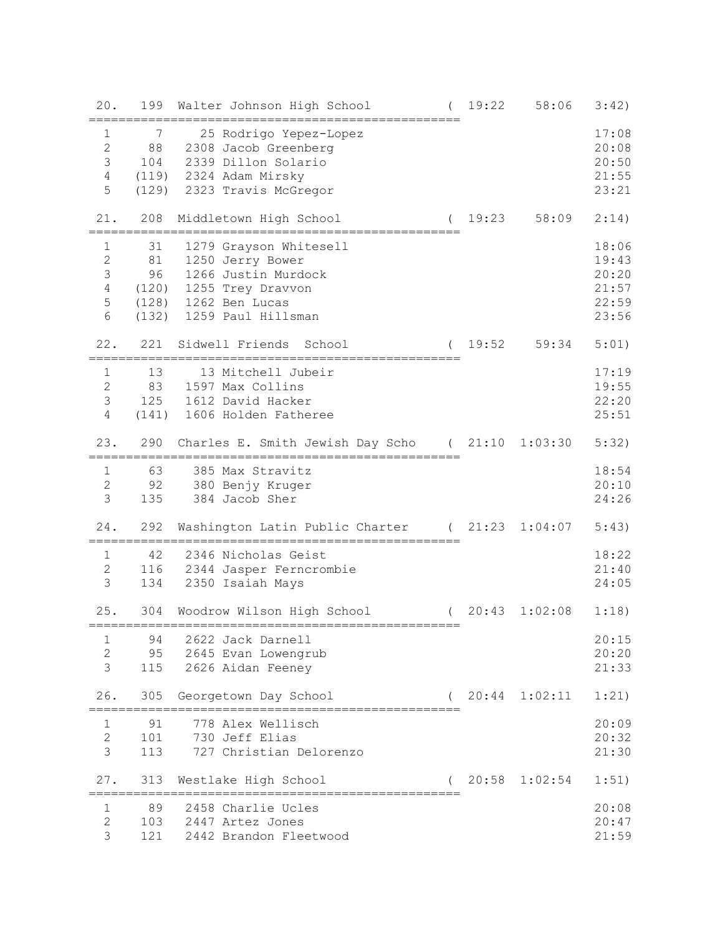| 20.                       | 199        | 19:22<br>Walter Johnson High School                       | 58:06   | 3:42) |
|---------------------------|------------|-----------------------------------------------------------|---------|-------|
| $\mathbf{1}$              | 7          | 25 Rodrigo Yepez-Lopez                                    |         | 17:08 |
| $\overline{2}$            | 88         | 2308 Jacob Greenberg                                      |         | 20:08 |
| 3                         | 104        | 2339 Dillon Solario                                       |         | 20:50 |
| $\overline{4}$            |            | (119) 2324 Adam Mirsky                                    |         | 21:55 |
| 5                         |            | (129) 2323 Travis McGregor                                |         | 23:21 |
|                           |            |                                                           |         |       |
| 21.                       | 208        | (19:23)<br>Middletown High School                         | 58:09   | 2:14) |
| 1                         | 31         | 1279 Grayson Whitesell                                    |         | 18:06 |
| $\overline{2}$            | 81         | 1250 Jerry Bower                                          |         | 19:43 |
| 3                         | 96         | 1266 Justin Murdock                                       |         | 20:20 |
| $\overline{4}$            |            | (120) 1255 Trey Dravvon                                   |         | 21:57 |
| 5                         |            | (128) 1262 Ben Lucas                                      |         | 22:59 |
| 6                         |            | (132) 1259 Paul Hillsman                                  |         | 23:56 |
| 22.                       | 221        | 19:52<br>Sidwell Friends School<br>$\left($               | 59:34   | 5:01) |
| $\mathbf{1}$              | 13         | 13 Mitchell Jubeir                                        |         | 17:19 |
| $\mathbf{2}^{\mathsf{I}}$ | 83         | 1597 Max Collins                                          |         | 19:55 |
| 3                         |            | 125 1612 David Hacker                                     |         | 22:20 |
| $\overline{4}$            |            | (141) 1606 Holden Fatheree                                |         | 25:51 |
|                           |            |                                                           |         |       |
| 23.                       | 290        | Charles E. Smith Jewish Day Scho (21:10                   | 1:03:30 | 5:32) |
| 1                         | 63         | 385 Max Stravitz                                          |         | 18:54 |
| $\overline{2}$            | 92         | 380 Benjy Kruger                                          |         | 20:10 |
| $\mathfrak{Z}$            | 135        | 384 Jacob Sher                                            |         | 24:26 |
|                           |            |                                                           |         |       |
| 24.                       | 292        | (21:23)<br>Washington Latin Public Charter                | 1:04:07 | 5:43) |
| $\mathbf{1}$              | 42         | 2346 Nicholas Geist                                       |         | 18:22 |
| $\mathbf{2}$              |            | 116 2344 Jasper Ferncrombie                               |         | 21:40 |
| $\mathcal{S}$             | 134        | 2350 Isaiah Mays                                          |         | 24:05 |
|                           |            |                                                           |         |       |
| 25.                       | 304        | 20:43<br>Woodrow Wilson High School<br>================== | 1:02:08 | 1:18) |
| 1                         | 94         | 2622 Jack Darnell                                         |         | 20:15 |
|                           |            |                                                           |         |       |
| $\overline{c}$            | 95         | 2645 Evan Lowengrub                                       |         | 20:20 |
| 3                         | 115        | 2626 Aidan Feeney                                         |         | 21:33 |
| 26.                       | 305        | $20:44$ $1:02:11$<br>Georgetown Day School                |         | 1:21) |
|                           |            | ====================                                      |         |       |
| $\mathbf{1}$              | 91         | 778 Alex Wellisch                                         |         | 20:09 |
| $\overline{2}$            | 101        | 730 Jeff Elias                                            |         | 20:32 |
| 3                         | 113        | 727 Christian Delorenzo                                   |         | 21:30 |
|                           |            |                                                           |         |       |
| 27.                       | 313        | $20:58$ $1:02:54$<br>Westlake High School                 |         | 1:51) |
|                           | ========== | =================================                         |         |       |
| $\mathbf 1$               | 89         | 2458 Charlie Ucles                                        |         | 20:08 |
| $\overline{2}$            | 103        | 2447 Artez Jones                                          |         | 20:47 |
| 3                         | 121        | 2442 Brandon Fleetwood                                    |         | 21:59 |